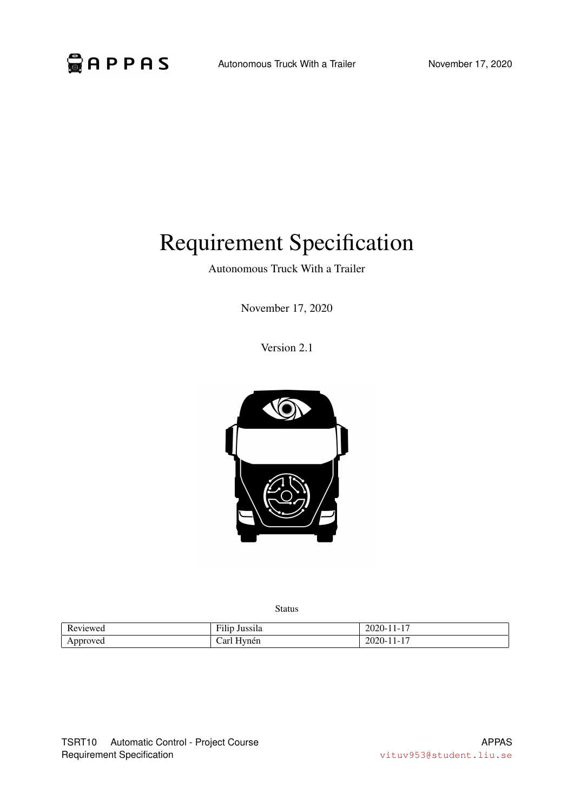# Requirement Specification

Autonomous Truck With a Trailer

November 17, 2020

Version 2.1



Status

| W <sub>e</sub><br>$-11$<br>. | $\sim$<br>$\overline{\phantom{a}}$<br>,,,,,,<br>. .<br>- типр<br>лизэна | . .<br>' I J – I<br>.<br>ZU<br>_____ |
|------------------------------|-------------------------------------------------------------------------|--------------------------------------|
| . $\leftarrow$               | эr<br>vnen                                                              | -<br>'I I– I<br>.<br>ZU.<br>_____    |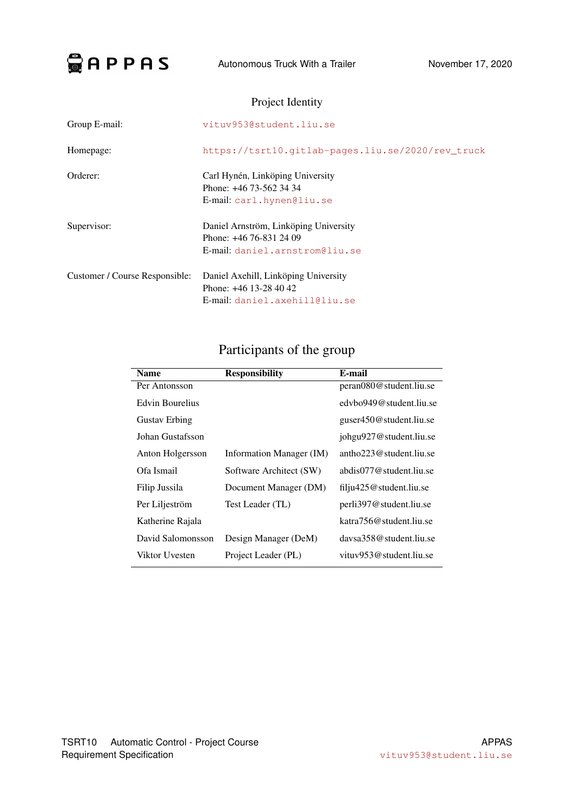

# Project Identity

| Group E-mail:                  | vituv953@student.liu.se                                                                              |
|--------------------------------|------------------------------------------------------------------------------------------------------|
| Homepage:                      | https://tsrt10.qitlab-pages.liu.se/2020/rev truck                                                    |
| Orderer:                       | Carl Hynén, Linköping University<br>Phone: +46 73-562 34 34<br>E-mail: carl.hynen@liu.se             |
| Supervisor:                    | Daniel Arnström, Linköping University<br>Phone: $+46$ 76-831 24 09<br>E-mail: daniel.arnstrom@liu.se |
| Customer / Course Responsible: | Daniel Axehill, Linköping University<br>Phone: $+46$ 13-28 40 42<br>E-mail: daniel.axehill@liu.se    |

# Participants of the group

| <b>Name</b>            | <b>Responsibility</b>    | E-mail                            |
|------------------------|--------------------------|-----------------------------------|
| Per Antonsson          |                          | peran080@student.liu.se           |
| <b>Edvin Bourelius</b> |                          | edybo949@student.liu.se           |
| <b>Gustav Erbing</b>   |                          | guser450@student.liu.se           |
| Johan Gustafsson       |                          | johgu927@student.liu.se           |
| Anton Holgersson       | Information Manager (IM) | antho $223@$ student.liu.se       |
| Ofa Ismail             | Software Architect (SW)  | abdis077@student.liu.se           |
| Filip Jussila          | Document Manager (DM)    | $\text{fil}$ ju425@student.liu.se |
| Per Liljeström         | Test Leader (TL)         | perli397@student.liu.se           |
| Katherine Rajala       |                          | katra 756@student.liu.se          |
| David Salomonsson      | Design Manager (DeM)     | daysa358@student.liu.se           |
| Viktor Uvesten         | Project Leader (PL)      | vituv $953$ @student.liu.se       |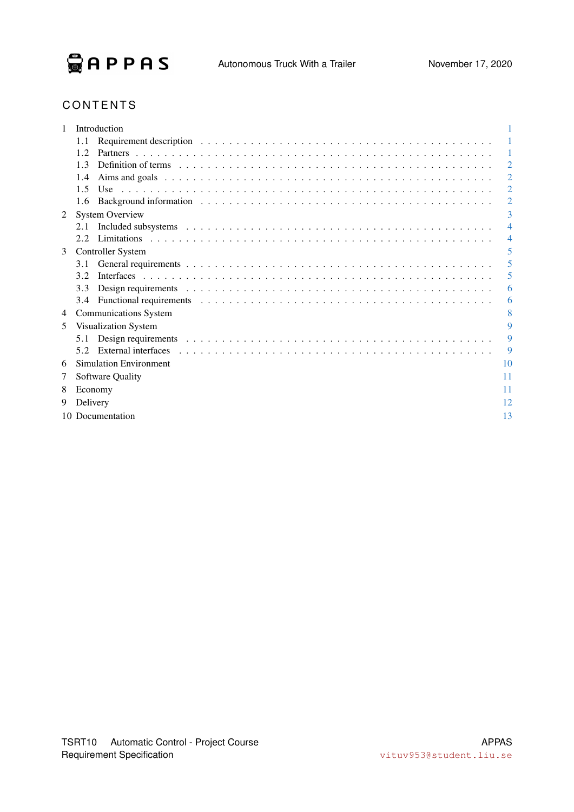

# **CONTENTS**

|   |          | Introduction                                                                                                                                                                                                                   |                |
|---|----------|--------------------------------------------------------------------------------------------------------------------------------------------------------------------------------------------------------------------------------|----------------|
|   | 1.1      | Requirement description (a) and a subset of the set of the set of the set of the set of the set of the set of the set of the set of the set of the set of the set of the set of the set of the set of the set of the set of th |                |
|   | 1.2.     |                                                                                                                                                                                                                                | $\mathbf{1}$   |
|   | 1.3      | Definition of terms responses to the contract of the contract of the contract of terms responses to the contract of the contract of the contract of the contract of the contract of the contract of the contract of the contra | $\overline{2}$ |
|   | 1.4      |                                                                                                                                                                                                                                | $\overline{2}$ |
|   | 1.5      |                                                                                                                                                                                                                                | $\overline{2}$ |
|   | 1.6      |                                                                                                                                                                                                                                | $\overline{2}$ |
| 2 |          | <b>System Overview</b>                                                                                                                                                                                                         | 3              |
|   | 2.1      |                                                                                                                                                                                                                                | $\overline{4}$ |
|   | 2.2      |                                                                                                                                                                                                                                | 4              |
| 3 |          | <b>Controller System</b>                                                                                                                                                                                                       | 5              |
|   | 3.1      |                                                                                                                                                                                                                                | 5              |
|   | 3.2      |                                                                                                                                                                                                                                | 5              |
|   | 3.3      |                                                                                                                                                                                                                                | 6              |
|   | 3.4      |                                                                                                                                                                                                                                | 6              |
| 4 |          | <b>Communications System</b>                                                                                                                                                                                                   | 8              |
| 5 |          | Visualization System                                                                                                                                                                                                           | 9              |
|   | 5.1      |                                                                                                                                                                                                                                | 9              |
|   | 5.2      | External interfaces enterprise in the contract of the contract of the contract of the contract of the contract of the contract of the contract of the contract of the contract of the contract of the contract of the contract | 9              |
| 6 |          | <b>Simulation Environment</b>                                                                                                                                                                                                  | 10             |
| 7 |          | Software Quality                                                                                                                                                                                                               | 11             |
| 8 | Economy  |                                                                                                                                                                                                                                | 11             |
| 9 | Delivery |                                                                                                                                                                                                                                | 12             |
|   |          |                                                                                                                                                                                                                                | 13             |
|   |          | 10 Documentation                                                                                                                                                                                                               |                |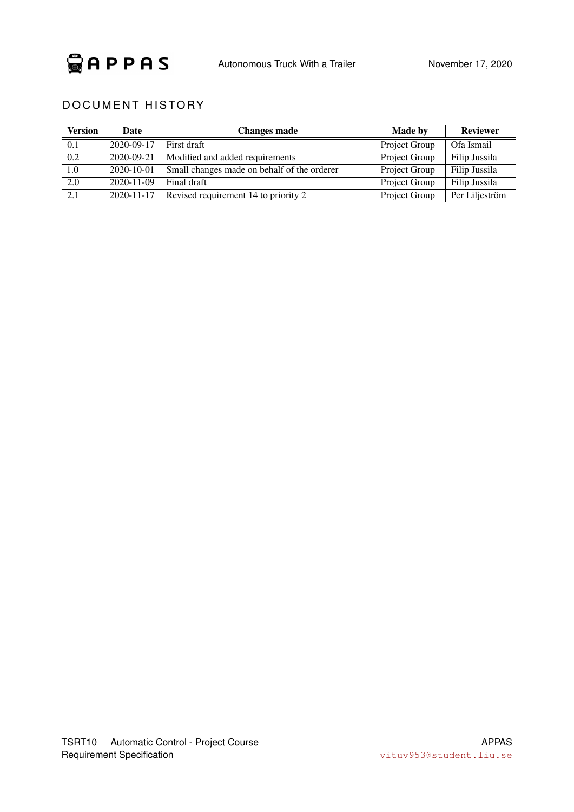

## DOCUMENT HISTORY

| Version | Date             | <b>Changes made</b>                         | <b>Made by</b> | <b>Reviewer</b> |
|---------|------------------|---------------------------------------------|----------------|-----------------|
| 0.1     | 2020-09-17       | First draft                                 | Project Group  | Ofa Ismail      |
| 0.2     | 2020-09-21       | Modified and added requirements             | Project Group  | Filip Jussila   |
| 1.0     | 2020-10-01       | Small changes made on behalf of the orderer | Project Group  | Filip Jussila   |
| 2.0     | $2020 - 11 - 09$ | Final draft                                 | Project Group  | Filip Jussila   |
| 2.1     | 2020-11-17       | Revised requirement 14 to priority 2        | Project Group  | Per Liljeström  |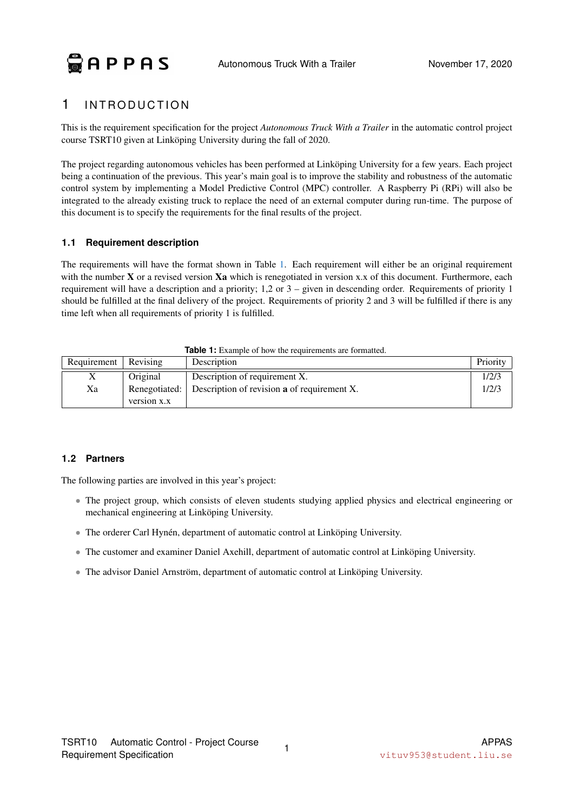# <span id="page-4-0"></span>1 INTRODUCTION

This is the requirement specification for the project *Autonomous Truck With a Trailer* in the automatic control project course TSRT10 given at Linköping University during the fall of 2020.

The project regarding autonomous vehicles has been performed at Linköping University for a few years. Each project being a continuation of the previous. This year's main goal is to improve the stability and robustness of the automatic control system by implementing a Model Predictive Control (MPC) controller. A Raspberry Pi (RPi) will also be integrated to the already existing truck to replace the need of an external computer during run-time. The purpose of this document is to specify the requirements for the final results of the project.

#### <span id="page-4-1"></span>**1.1 Requirement description**

The requirements will have the format shown in Table [1.](#page-4-3) Each requirement will either be an original requirement with the number  $X$  or a revised version  $Xa$  which is renegotiated in version x.x of this document. Furthermore, each requirement will have a description and a priority; 1,2 or 3 – given in descending order. Requirements of priority 1 should be fulfilled at the final delivery of the project. Requirements of priority 2 and 3 will be fulfilled if there is any time left when all requirements of priority 1 is fulfilled.

<span id="page-4-3"></span>

| Requirement   Revising |             | Description                                                      | Priority |
|------------------------|-------------|------------------------------------------------------------------|----------|
| л                      | Original    | Description of requirement X.                                    | 1/2/3    |
| Xa                     |             | Renegotiated: Description of revision <b>a</b> of requirement X. | 1/2/3    |
|                        | version x.x |                                                                  |          |

# **Table 1:** Example of how the requirements are formatted.

#### <span id="page-4-2"></span>**1.2 Partners**

The following parties are involved in this year's project:

- The project group, which consists of eleven students studying applied physics and electrical engineering or mechanical engineering at Linköping University.
- The orderer Carl Hynén, department of automatic control at Linköping University.
- The customer and examiner Daniel Axehill, department of automatic control at Linköping University.
- The advisor Daniel Arnström, department of automatic control at Linköping University.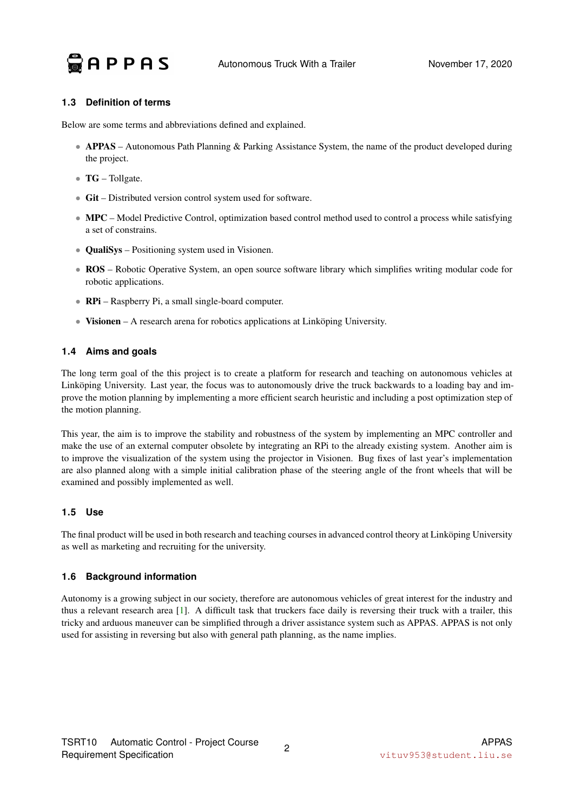

#### <span id="page-5-0"></span>**1.3 Definition of terms**

Below are some terms and abbreviations defined and explained.

- APPAS Autonomous Path Planning & Parking Assistance System, the name of the product developed during the project.
- TG Tollgate.
- Git Distributed version control system used for software.
- MPC Model Predictive Control, optimization based control method used to control a process while satisfying a set of constrains.
- **QualiSys** Positioning system used in Visionen.
- ROS Robotic Operative System, an open source software library which simplifies writing modular code for robotic applications.
- **RPi** Raspberry Pi, a small single-board computer.
- Visionen A research arena for robotics applications at Linköping University.

#### <span id="page-5-1"></span>**1.4 Aims and goals**

The long term goal of the this project is to create a platform for research and teaching on autonomous vehicles at Linköping University. Last year, the focus was to autonomously drive the truck backwards to a loading bay and improve the motion planning by implementing a more efficient search heuristic and including a post optimization step of the motion planning.

This year, the aim is to improve the stability and robustness of the system by implementing an MPC controller and make the use of an external computer obsolete by integrating an RPi to the already existing system. Another aim is to improve the visualization of the system using the projector in Visionen. Bug fixes of last year's implementation are also planned along with a simple initial calibration phase of the steering angle of the front wheels that will be examined and possibly implemented as well.

#### <span id="page-5-2"></span>**1.5 Use**

The final product will be used in both research and teaching courses in advanced control theory at Linköping University as well as marketing and recruiting for the university.

#### <span id="page-5-3"></span>**1.6 Background information**

Autonomy is a growing subject in our society, therefore are autonomous vehicles of great interest for the industry and thus a relevant research area [\[1\]](#page-17-0). A difficult task that truckers face daily is reversing their truck with a trailer, this tricky and arduous maneuver can be simplified through a driver assistance system such as APPAS. APPAS is not only used for assisting in reversing but also with general path planning, as the name implies.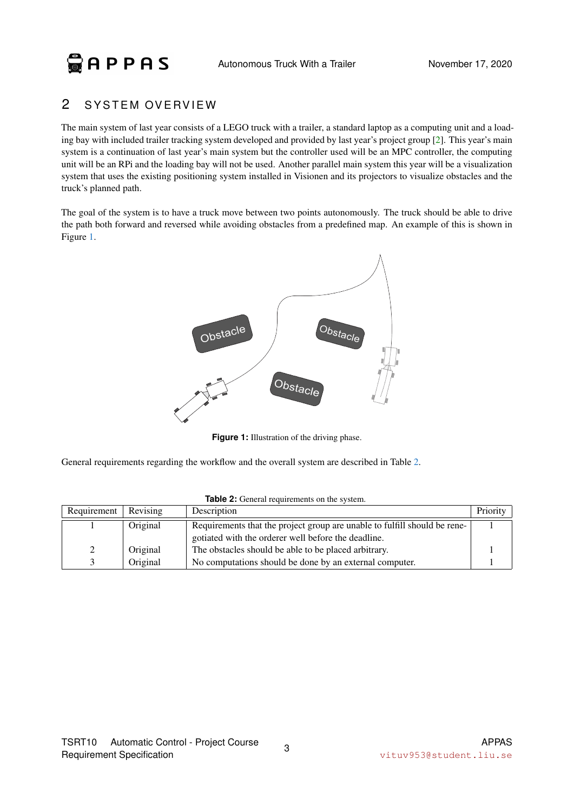# $Q$ **APPAS**

# <span id="page-6-0"></span>2 SYSTEM OVERVIEW

The main system of last year consists of a LEGO truck with a trailer, a standard laptop as a computing unit and a loading bay with included trailer tracking system developed and provided by last year's project group [\[2\]](#page-17-1). This year's main system is a continuation of last year's main system but the controller used will be an MPC controller, the computing unit will be an RPi and the loading bay will not be used. Another parallel main system this year will be a visualization system that uses the existing positioning system installed in Visionen and its projectors to visualize obstacles and the truck's planned path.

<span id="page-6-1"></span>The goal of the system is to have a truck move between two points autonomously. The truck should be able to drive the path both forward and reversed while avoiding obstacles from a predefined map. An example of this is shown in Figure [1.](#page-6-1)



**Figure 1:** Illustration of the driving phase.

<span id="page-6-2"></span>General requirements regarding the workflow and the overall system are described in Table [2.](#page-6-2)

| Requirement | Revising | Description                                                               | Priority |
|-------------|----------|---------------------------------------------------------------------------|----------|
|             | Original | Requirements that the project group are unable to fulfill should be rene- |          |
|             |          | gotiated with the orderer well before the deadline.                       |          |
| 2           | Original | The obstacles should be able to be placed arbitrary.                      |          |
|             | Original | No computations should be done by an external computer.                   |          |

**Table 2:** General requirements on the system.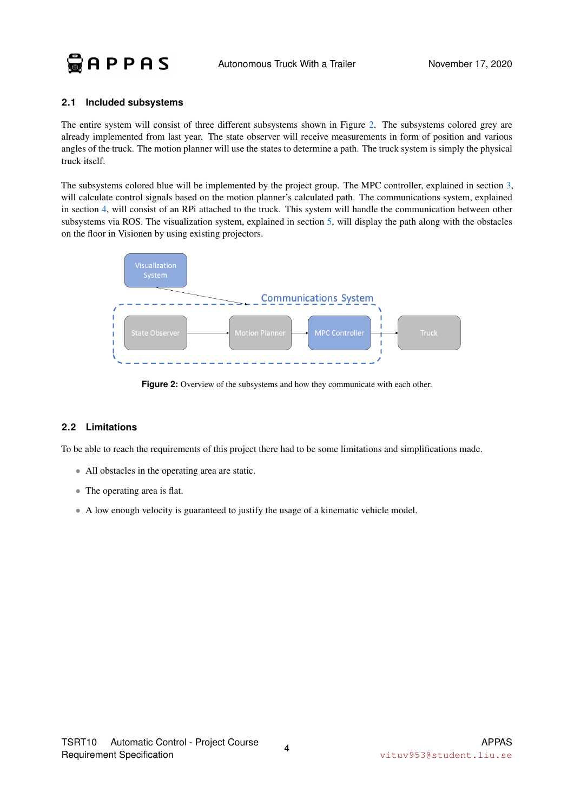

#### <span id="page-7-0"></span>**2.1 Included subsystems**

The entire system will consist of three different subsystems shown in Figure [2.](#page-7-2) The subsystems colored grey are already implemented from last year. The state observer will receive measurements in form of position and various angles of the truck. The motion planner will use the states to determine a path. The truck system is simply the physical truck itself.

The subsystems colored blue will be implemented by the project group. The MPC controller, explained in section [3,](#page-8-0) will calculate control signals based on the motion planner's calculated path. The communications system, explained in section [4,](#page-11-0) will consist of an RPi attached to the truck. This system will handle the communication between other subsystems via ROS. The visualization system, explained in section [5,](#page-12-0) will display the path along with the obstacles on the floor in Visionen by using existing projectors.

<span id="page-7-2"></span>

**Figure 2:** Overview of the subsystems and how they communicate with each other.

#### <span id="page-7-1"></span>**2.2 Limitations**

To be able to reach the requirements of this project there had to be some limitations and simplifications made.

- All obstacles in the operating area are static.
- The operating area is flat.
- A low enough velocity is guaranteed to justify the usage of a kinematic vehicle model.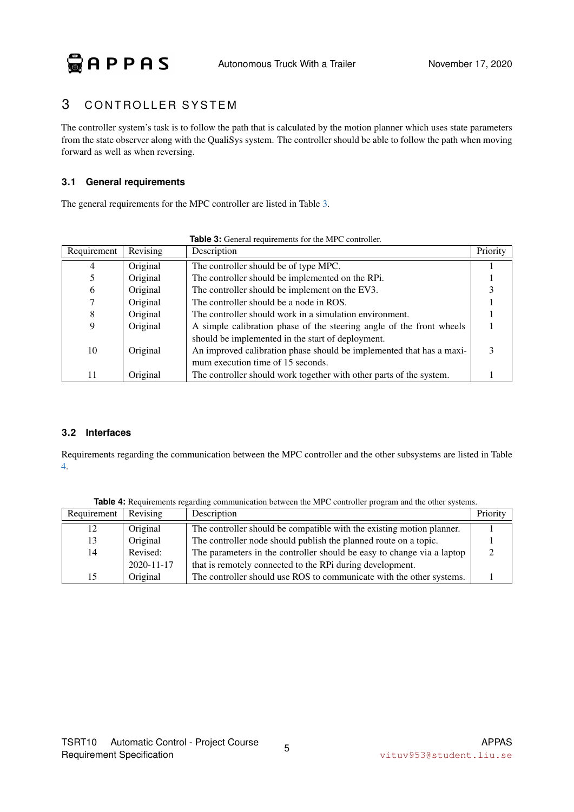# <span id="page-8-0"></span>3 CONTROLLER SYSTEM

The controller system's task is to follow the path that is calculated by the motion planner which uses state parameters from the state observer along with the QualiSys system. The controller should be able to follow the path when moving forward as well as when reversing.

#### <span id="page-8-1"></span>**3.1 General requirements**

<span id="page-8-3"></span>The general requirements for the MPC controller are listed in Table [3.](#page-8-3)

|             |          | <b>Ravic 9.</b> Octicial requirements for the two controller.        |          |
|-------------|----------|----------------------------------------------------------------------|----------|
| Requirement | Revising | Description                                                          | Priority |
|             | Original | The controller should be of type MPC.                                |          |
|             | Original | The controller should be implemented on the RPi.                     |          |
| 6           | Original | The controller should be implement on the EV3.                       |          |
|             | Original | The controller should be a node in ROS.                              |          |
| 8           | Original | The controller should work in a simulation environment.              |          |
| Q           | Original | A simple calibration phase of the steering angle of the front wheels |          |
|             |          | should be implemented in the start of deployment.                    |          |
| 10          | Original | An improved calibration phase should be implemented that has a maxi- |          |
|             |          | mum execution time of 15 seconds.                                    |          |
| 11          | Original | The controller should work together with other parts of the system.  |          |

**Table 3:** General requirements for the MPC controller

#### <span id="page-8-2"></span>**3.2 Interfaces**

Requirements regarding the communication between the MPC controller and the other subsystems are listed in Table [4.](#page-8-4)

<span id="page-8-4"></span>

| Requirement | Revising         | Description                                                            | Priority |
|-------------|------------------|------------------------------------------------------------------------|----------|
| 12          | Original         | The controller should be compatible with the existing motion planner.  |          |
| 13          | Original         | The controller node should publish the planned route on a topic.       |          |
| 14          | Revised:         | The parameters in the controller should be easy to change via a laptop |          |
|             | $2020 - 11 - 17$ | that is remotely connected to the RPi during development.              |          |
| 15          | Original         | The controller should use ROS to communicate with the other systems.   |          |

**Table 4:** Requirements regarding communication between the MPC controller program and the other systems.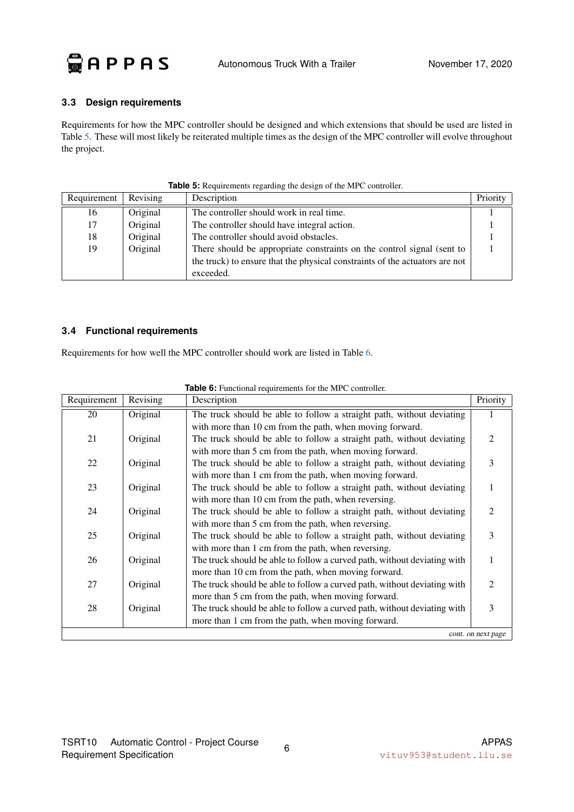

#### <span id="page-9-0"></span>**3.3 Design requirements**

Requirements for how the MPC controller should be designed and which extensions that should be used are listed in Table [5.](#page-9-2) These will most likely be reiterated multiple times as the design of the MPC controller will evolve throughout the project.

<span id="page-9-2"></span>

| Requirement | Revising | Description                                                                 | Priority |
|-------------|----------|-----------------------------------------------------------------------------|----------|
| 16          | Original | The controller should work in real time.                                    |          |
|             | Original | The controller should have integral action.                                 |          |
| 18          | Original | The controller should avoid obstacles.                                      |          |
| 19          | Original | There should be appropriate constraints on the control signal (sent to      |          |
|             |          | the truck) to ensure that the physical constraints of the actuators are not |          |
|             |          | exceeded.                                                                   |          |

#### **Table 5:** Requirements regarding the design of the MPC controller.

#### <span id="page-9-1"></span>**3.4 Functional requirements**

<span id="page-9-3"></span>Requirements for how well the MPC controller should work are listed in Table [6.](#page-9-3)

| Requirement | Revising | Description                                                              | Priority           |
|-------------|----------|--------------------------------------------------------------------------|--------------------|
| 20          | Original | The truck should be able to follow a straight path, without deviating    |                    |
|             |          | with more than 10 cm from the path, when moving forward.                 |                    |
| 21          | Original | The truck should be able to follow a straight path, without deviating    | $\overline{c}$     |
|             |          | with more than 5 cm from the path, when moving forward.                  |                    |
| 22          | Original | The truck should be able to follow a straight path, without deviating    | 3                  |
|             |          | with more than 1 cm from the path, when moving forward.                  |                    |
| 23          | Original | The truck should be able to follow a straight path, without deviating    | 1                  |
|             |          | with more than 10 cm from the path, when reversing.                      |                    |
| 24          | Original | The truck should be able to follow a straight path, without deviating    | 2                  |
|             |          | with more than 5 cm from the path, when reversing.                       |                    |
| 25          | Original | The truck should be able to follow a straight path, without deviating    | 3                  |
|             |          | with more than 1 cm from the path, when reversing.                       |                    |
| 26          | Original | The truck should be able to follow a curved path, without deviating with | 1                  |
|             |          | more than 10 cm from the path, when moving forward.                      |                    |
| 27          | Original | The truck should be able to follow a curved path, without deviating with | $\mathfrak{D}$     |
|             |          | more than 5 cm from the path, when moving forward.                       |                    |
| 28          | Original | The truck should be able to follow a curved path, without deviating with | 3                  |
|             |          | more than 1 cm from the path, when moving forward.                       |                    |
|             |          |                                                                          | cont. on next page |

#### **Table 6:** Functional requirements for the MPC controller.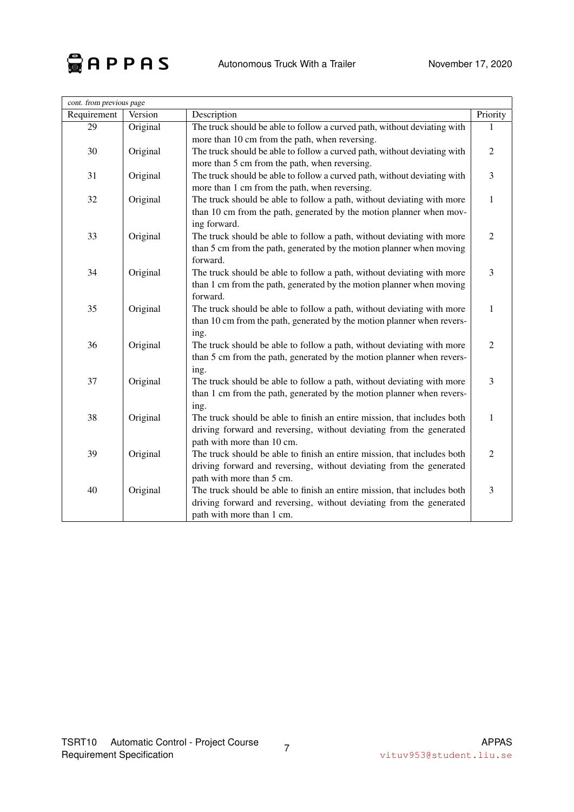

| cont. from previous page |          |                                                                          |                |
|--------------------------|----------|--------------------------------------------------------------------------|----------------|
| Requirement              | Version  | Description                                                              | Priority       |
| 29                       | Original | The truck should be able to follow a curved path, without deviating with |                |
|                          |          | more than 10 cm from the path, when reversing.                           |                |
| 30                       | Original | The truck should be able to follow a curved path, without deviating with | $\mathfrak{2}$ |
|                          |          | more than 5 cm from the path, when reversing.                            |                |
| 31                       | Original | The truck should be able to follow a curved path, without deviating with | 3              |
|                          |          | more than 1 cm from the path, when reversing.                            |                |
| 32                       | Original | The truck should be able to follow a path, without deviating with more   | 1              |
|                          |          | than 10 cm from the path, generated by the motion planner when mov-      |                |
|                          |          | ing forward.                                                             |                |
| 33                       | Original | The truck should be able to follow a path, without deviating with more   | $\overline{2}$ |
|                          |          | than 5 cm from the path, generated by the motion planner when moving     |                |
|                          |          | forward.                                                                 |                |
| 34                       | Original | The truck should be able to follow a path, without deviating with more   | $\mathfrak{Z}$ |
|                          |          | than 1 cm from the path, generated by the motion planner when moving     |                |
|                          |          | forward.                                                                 |                |
| 35                       | Original | The truck should be able to follow a path, without deviating with more   | $\mathbf 1$    |
|                          |          | than 10 cm from the path, generated by the motion planner when revers-   |                |
|                          |          | ing.                                                                     |                |
| 36                       | Original | The truck should be able to follow a path, without deviating with more   | $\mathfrak{2}$ |
|                          |          | than 5 cm from the path, generated by the motion planner when revers-    |                |
|                          |          | ing.                                                                     |                |
| 37                       | Original | The truck should be able to follow a path, without deviating with more   | 3              |
|                          |          | than 1 cm from the path, generated by the motion planner when revers-    |                |
|                          |          | ing.                                                                     |                |
| 38                       | Original | The truck should be able to finish an entire mission, that includes both | $\mathbf 1$    |
|                          |          | driving forward and reversing, without deviating from the generated      |                |
|                          |          | path with more than 10 cm.                                               |                |
| 39                       | Original | The truck should be able to finish an entire mission, that includes both | $\overline{2}$ |
|                          |          | driving forward and reversing, without deviating from the generated      |                |
|                          |          | path with more than 5 cm.                                                |                |
| 40                       | Original | The truck should be able to finish an entire mission, that includes both | 3              |
|                          |          | driving forward and reversing, without deviating from the generated      |                |
|                          |          | path with more than 1 cm.                                                |                |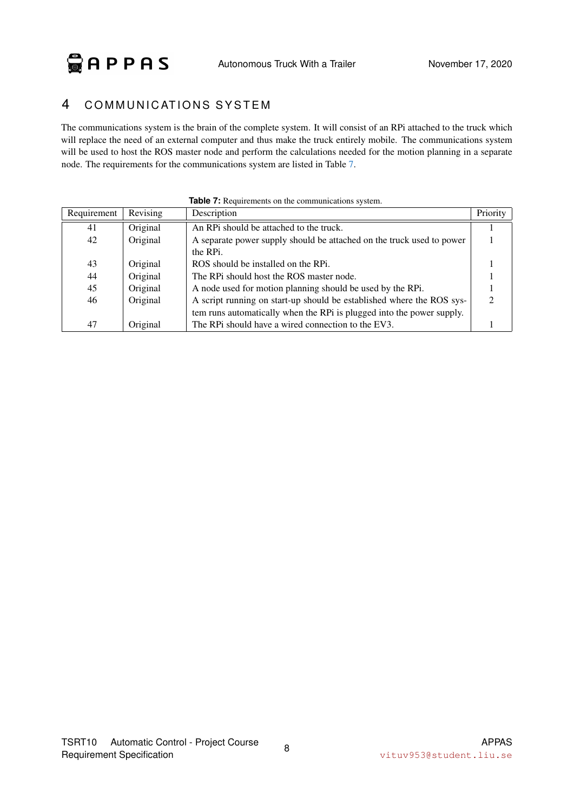## <span id="page-11-0"></span>4 COMMUNICATIONS SYSTEM

The communications system is the brain of the complete system. It will consist of an RPi attached to the truck which will replace the need of an external computer and thus make the truck entirely mobile. The communications system will be used to host the ROS master node and perform the calculations needed for the motion planning in a separate node. The requirements for the communications system are listed in Table [7.](#page-11-1)

<span id="page-11-1"></span>

| Requirement | Revising | Description                                                           | Priority |
|-------------|----------|-----------------------------------------------------------------------|----------|
| 41          | Original | An RPi should be attached to the truck.                               |          |
| 42          | Original | A separate power supply should be attached on the truck used to power |          |
|             |          | the RPi.                                                              |          |
| 43          | Original | ROS should be installed on the RPi.                                   |          |
| 44          | Original | The RPi should host the ROS master node.                              |          |
| 45          | Original | A node used for motion planning should be used by the RPi.            |          |
| 46          | Original | A script running on start-up should be established where the ROS sys- |          |
|             |          | tem runs automatically when the RPi is plugged into the power supply. |          |
| 47          | Original | The RPi should have a wired connection to the EV3.                    |          |

|  | Table 7: Requirements on the communications system. |  |  |  |
|--|-----------------------------------------------------|--|--|--|
|  |                                                     |  |  |  |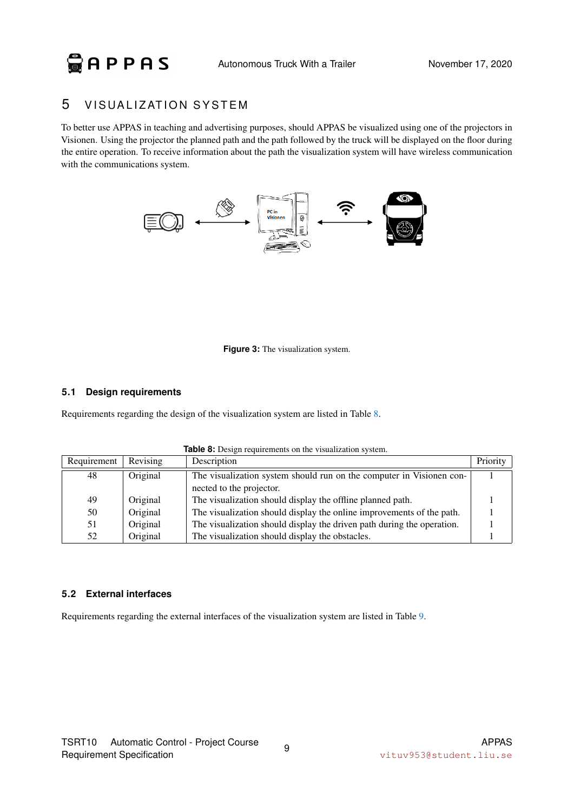### <span id="page-12-0"></span>5 VISUALIZATION SYSTEM

To better use APPAS in teaching and advertising purposes, should APPAS be visualized using one of the projectors in Visionen. Using the projector the planned path and the path followed by the truck will be displayed on the floor during the entire operation. To receive information about the path the visualization system will have wireless communication with the communications system.



**Figure 3:** The visualization system.

#### <span id="page-12-1"></span>**5.1 Design requirements**

<span id="page-12-3"></span>Requirements regarding the design of the visualization system are listed in Table [8.](#page-12-3)

| Requirement | Revising | Description                                                            | Priority |
|-------------|----------|------------------------------------------------------------------------|----------|
| 48          | Original | The visualization system should run on the computer in Visionen con-   |          |
|             |          | nected to the projector.                                               |          |
| 49          | Original | The visualization should display the offline planned path.             |          |
| 50          | Original | The visualization should display the online improvements of the path.  |          |
| 51          | Original | The visualization should display the driven path during the operation. |          |
| 52          | Original | The visualization should display the obstacles.                        |          |

**Table 8:** Design requirements on the visualization system.

#### <span id="page-12-2"></span>**5.2 External interfaces**

<span id="page-12-4"></span>Requirements regarding the external interfaces of the visualization system are listed in Table [9.](#page-12-4)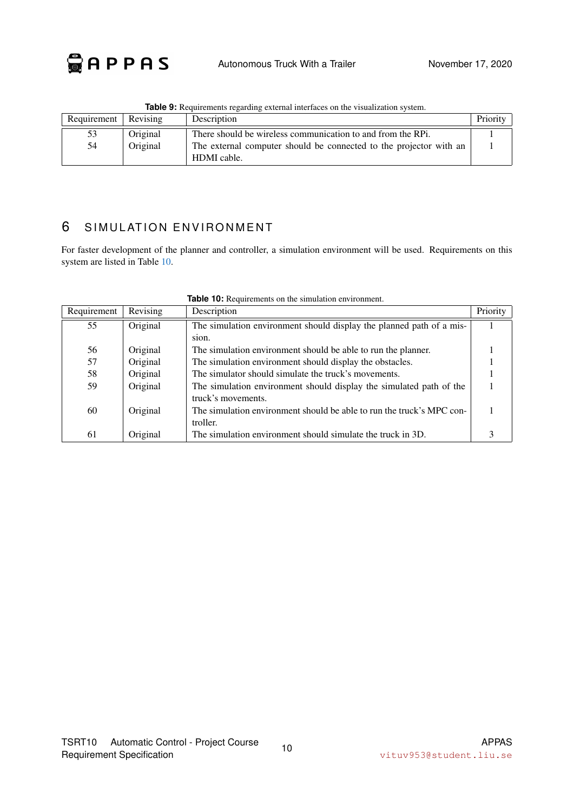| Requirement | Revising | Description                                                        | Priority |
|-------------|----------|--------------------------------------------------------------------|----------|
| 53          | Original | There should be wireless communication to and from the RPi.        |          |
| 54          | Original | The external computer should be connected to the projector with an |          |
|             |          | HDMI cable.                                                        |          |

**Table 9:** Requirements regarding external interfaces on the visualization system.

# <span id="page-13-0"></span>6 SIMULATION ENVIRONMENT

For faster development of the planner and controller, a simulation environment will be used. Requirements on this system are listed in Table [10.](#page-13-1)

<span id="page-13-1"></span>

| Requirement | Revising | Description                                                           | Priority |
|-------------|----------|-----------------------------------------------------------------------|----------|
| 55          | Original | The simulation environment should display the planned path of a mis-  |          |
|             |          | sion.                                                                 |          |
| 56          | Original | The simulation environment should be able to run the planner.         |          |
| 57          | Original | The simulation environment should display the obstacles.              |          |
| 58          | Original | The simulator should simulate the truck's movements.                  |          |
| 59          | Original | The simulation environment should display the simulated path of the   |          |
|             |          | truck's movements.                                                    |          |
| 60          | Original | The simulation environment should be able to run the truck's MPC con- |          |
|             |          | troller.                                                              |          |
| 61          | Original | The simulation environment should simulate the truck in 3D.           |          |

**Table 10:** Requirements on the simulation environment.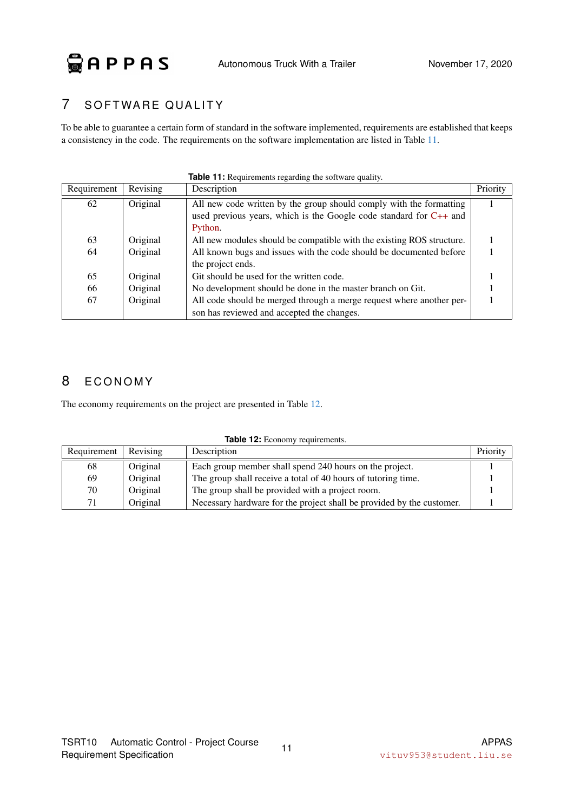# <span id="page-14-0"></span>7 SOFTWARE QUALITY

To be able to guarantee a certain form of standard in the software implemented, requirements are established that keeps a consistency in the code. The requirements on the software implementation are listed in Table [11.](#page-14-2)

<span id="page-14-2"></span>

| Requirement | Revising | Description                                                           | Priority |
|-------------|----------|-----------------------------------------------------------------------|----------|
| 62          | Original | All new code written by the group should comply with the formatting   |          |
|             |          | used previous years, which is the Google code standard for $C++$ and  |          |
|             |          | Python.                                                               |          |
| 63          | Original | All new modules should be compatible with the existing ROS structure. |          |
| 64          | Original | All known bugs and issues with the code should be documented before   |          |
|             |          | the project ends.                                                     |          |
| 65          | Original | Git should be used for the written code.                              |          |
| 66          | Original | No development should be done in the master branch on Git.            |          |
| 67          | Original | All code should be merged through a merge request where another per-  |          |
|             |          | son has reviewed and accepted the changes.                            |          |

#### **Table 11:** Requirements regarding the software quality.

# <span id="page-14-1"></span>8 ECONOMY

<span id="page-14-3"></span>The economy requirements on the project are presented in Table [12.](#page-14-3)

| $\frac{1}{2}$ |          |                                                                       |          |  |  |
|---------------|----------|-----------------------------------------------------------------------|----------|--|--|
| Requirement   | Revising | Description                                                           | Priority |  |  |
| 68            | Original | Each group member shall spend 240 hours on the project.               |          |  |  |
| 69            | Original | The group shall receive a total of 40 hours of tutoring time.         |          |  |  |
| 70            | Original | The group shall be provided with a project room.                      |          |  |  |
| 71            | Original | Necessary hardware for the project shall be provided by the customer. |          |  |  |

**Table 12: Economy requirements.**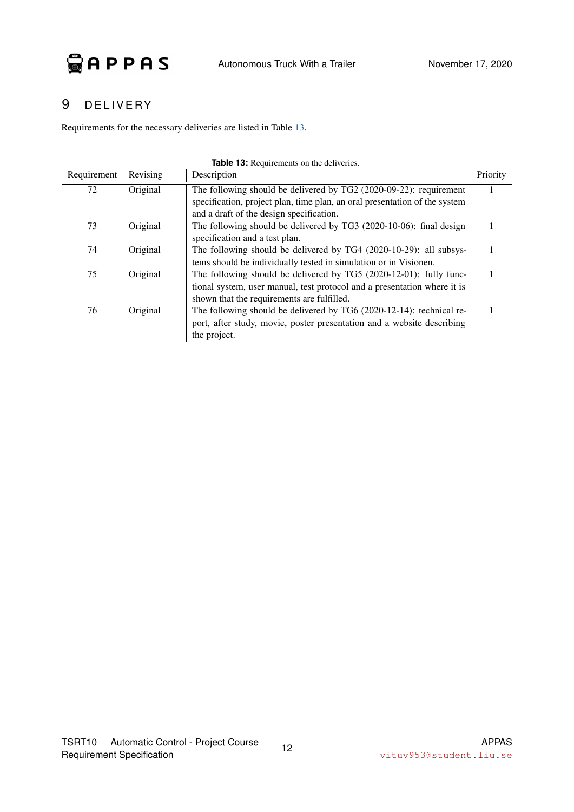# <span id="page-15-0"></span>9 DELIVERY

<span id="page-15-1"></span>Requirements for the necessary deliveries are listed in Table [13.](#page-15-1)

| Requirement | Revising | Description                                                                | Priority |
|-------------|----------|----------------------------------------------------------------------------|----------|
| 72          | Original | The following should be delivered by TG2 (2020-09-22): requirement         |          |
|             |          | specification, project plan, time plan, an oral presentation of the system |          |
|             |          | and a draft of the design specification.                                   |          |
| 73          | Original | The following should be delivered by TG3 (2020-10-06): final design        |          |
|             |          | specification and a test plan.                                             |          |
| 74          | Original | The following should be delivered by TG4 (2020-10-29): all subsys-         |          |
|             |          | tems should be individually tested in simulation or in Visionen.           |          |
| 75          | Original | The following should be delivered by TG5 (2020-12-01): fully func-         |          |
|             |          | tional system, user manual, test protocol and a presentation where it is   |          |
|             |          | shown that the requirements are fulfilled.                                 |          |
| 76          | Original | The following should be delivered by TG6 (2020-12-14): technical re-       |          |
|             |          | port, after study, movie, poster presentation and a website describing     |          |
|             |          | the project.                                                               |          |

#### **Table 13:** Requirements on the deliveries.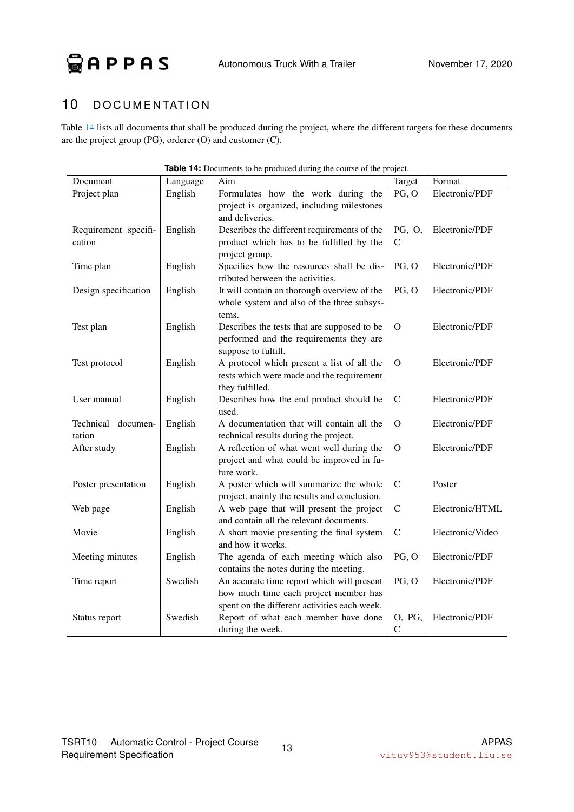GAPPAS

# <span id="page-16-0"></span>10 DOCUMENTATION

Table [14](#page-16-1) lists all documents that shall be produced during the project, where the different targets for these documents are the project group (PG), orderer (O) and customer (C).

<span id="page-16-1"></span>

| Document             | Language | <b>EXAMPLE 14.</b> Documents to be produced during the course of the pro-<br>Aim | Target       | Format           |
|----------------------|----------|----------------------------------------------------------------------------------|--------------|------------------|
|                      | English  | Formulates how the work during the                                               | PG, O        | Electronic/PDF   |
| Project plan         |          |                                                                                  |              |                  |
|                      |          | project is organized, including milestones<br>and deliveries.                    |              |                  |
|                      |          |                                                                                  |              |                  |
| Requirement specifi- | English  | Describes the different requirements of the                                      | PG, O,       | Electronic/PDF   |
| cation               |          | product which has to be fulfilled by the                                         | C            |                  |
|                      |          | project group.                                                                   |              |                  |
| Time plan            | English  | Specifies how the resources shall be dis-                                        | PG, O        | Electronic/PDF   |
|                      |          | tributed between the activities.                                                 |              |                  |
| Design specification | English  | It will contain an thorough overview of the                                      | PG, O        | Electronic/PDF   |
|                      |          | whole system and also of the three subsys-                                       |              |                  |
|                      |          | tems.                                                                            |              |                  |
| Test plan            | English  | Describes the tests that are supposed to be                                      | $\Omega$     | Electronic/PDF   |
|                      |          | performed and the requirements they are                                          |              |                  |
|                      |          | suppose to fulfill.                                                              |              |                  |
| Test protocol        | English  | A protocol which present a list of all the                                       | $\Omega$     | Electronic/PDF   |
|                      |          | tests which were made and the requirement                                        |              |                  |
|                      |          | they fulfilled.                                                                  |              |                  |
| User manual          | English  | Describes how the end product should be                                          | $\mathbf C$  | Electronic/PDF   |
|                      |          | used.                                                                            |              |                  |
| Technical documen-   | English  | A documentation that will contain all the                                        | $\Omega$     | Electronic/PDF   |
| tation               |          | technical results during the project.                                            |              |                  |
| After study          | English  | A reflection of what went well during the                                        | $\Omega$     | Electronic/PDF   |
|                      |          | project and what could be improved in fu-                                        |              |                  |
|                      |          | ture work.                                                                       |              |                  |
| Poster presentation  | English  | A poster which will summarize the whole                                          | $\mathbf C$  | Poster           |
|                      |          | project, mainly the results and conclusion.                                      |              |                  |
| Web page             | English  | A web page that will present the project                                         | $\mathbf C$  | Electronic/HTML  |
|                      |          | and contain all the relevant documents.                                          |              |                  |
| Movie                | English  | A short movie presenting the final system                                        | $\mathsf{C}$ | Electronic/Video |
|                      |          | and how it works.                                                                |              |                  |
| Meeting minutes      | English  | The agenda of each meeting which also                                            | PG, O        | Electronic/PDF   |
|                      |          | contains the notes during the meeting.                                           |              |                  |
| Time report          | Swedish  | An accurate time report which will present                                       | PG, O        | Electronic/PDF   |
|                      |          | how much time each project member has                                            |              |                  |
|                      |          | spent on the different activities each week.                                     |              |                  |
| Status report        | Swedish  | Report of what each member have done                                             | O, PG,       | Electronic/PDF   |
|                      |          | during the week.                                                                 | $\mathsf{C}$ |                  |

| Table 14: Documents to be produced during the course of the project. |  |  |
|----------------------------------------------------------------------|--|--|
|                                                                      |  |  |